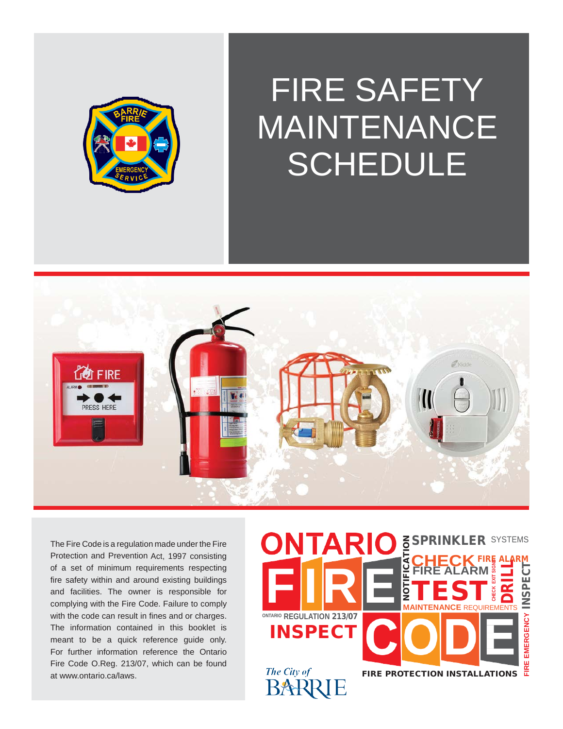

# FIRE SAFETY MAINTENANCE SCHEDULE



The Fire Code is a regulation made under the Fire Protection and Prevention Act, 1997 consisting of a set of minimum requirements respecting fire safety within and around existing buildings and facilities. The owner is responsible for complying with the Fire Code. Failure to comply with the code can result in fines and or charges. The information contained in this booklet is meant to be a quick reference guide only. For further information reference the Ontario Fire Code O.Reg. 213/07, which can be foun[d](http://www.ontario.ca/laws) [at www.ontario.ca/laws.](http://www.ontario.ca/laws)

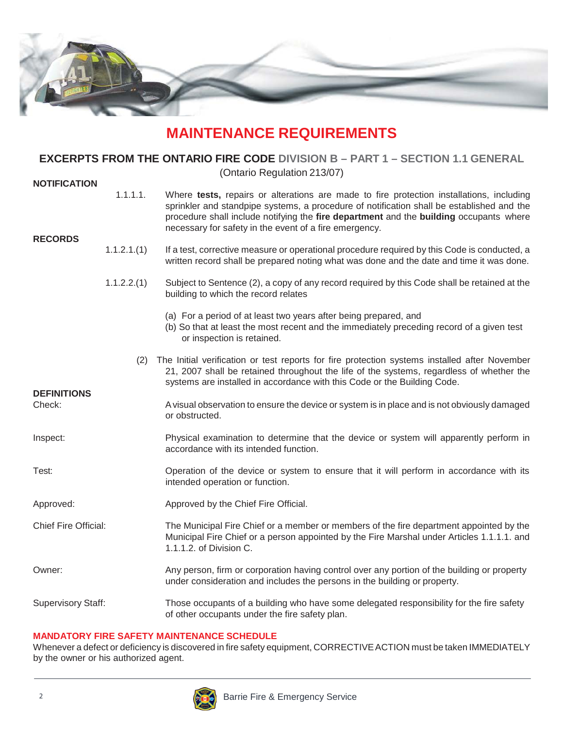

### **MAINTENANCE REQUIREMENTS**

#### **EXCERPTS FROM THE ONTARIO FIRE CODE DIVISION B – PART 1 – SECTION 1.1 GENERAL**

(Ontario Regulation 213/07)

| <b>NOTIFICATION</b>          |             |                                                                                                                                                                                                                                                                                                                                           |
|------------------------------|-------------|-------------------------------------------------------------------------------------------------------------------------------------------------------------------------------------------------------------------------------------------------------------------------------------------------------------------------------------------|
| <b>RECORDS</b>               | 1.1.1.1.    | Where tests, repairs or alterations are made to fire protection installations, including<br>sprinkler and standpipe systems, a procedure of notification shall be established and the<br>procedure shall include notifying the fire department and the building occupants where<br>necessary for safety in the event of a fire emergency. |
|                              | 1.1.2.1.(1) | If a test, corrective measure or operational procedure required by this Code is conducted, a<br>written record shall be prepared noting what was done and the date and time it was done.                                                                                                                                                  |
|                              | 1.1.2.2.(1) | Subject to Sentence (2), a copy of any record required by this Code shall be retained at the<br>building to which the record relates                                                                                                                                                                                                      |
|                              |             | (a) For a period of at least two years after being prepared, and<br>(b) So that at least the most recent and the immediately preceding record of a given test<br>or inspection is retained.                                                                                                                                               |
|                              | (2)         | The Initial verification or test reports for fire protection systems installed after November<br>21, 2007 shall be retained throughout the life of the systems, regardless of whether the<br>systems are installed in accordance with this Code or the Building Code.                                                                     |
| <b>DEFINITIONS</b><br>Check: |             | A visual observation to ensure the device or system is in place and is not obviously damaged<br>or obstructed.                                                                                                                                                                                                                            |
| Inspect:                     |             | Physical examination to determine that the device or system will apparently perform in<br>accordance with its intended function.                                                                                                                                                                                                          |
| Test:                        |             | Operation of the device or system to ensure that it will perform in accordance with its<br>intended operation or function.                                                                                                                                                                                                                |
| Approved:                    |             | Approved by the Chief Fire Official.                                                                                                                                                                                                                                                                                                      |
| Chief Fire Official:         |             | The Municipal Fire Chief or a member or members of the fire department appointed by the<br>Municipal Fire Chief or a person appointed by the Fire Marshal under Articles 1.1.1.1. and<br>1.1.1.2. of Division C.                                                                                                                          |
| Owner:                       |             | Any person, firm or corporation having control over any portion of the building or property<br>under consideration and includes the persons in the building or property.                                                                                                                                                                  |
| <b>Supervisory Staff:</b>    |             | Those occupants of a building who have some delegated responsibility for the fire safety<br>of other occupants under the fire safety plan.                                                                                                                                                                                                |

#### **MANDATORY FIRE SAFETY MAINTENANCE SCHEDULE**

Whenever a defect or deficiency is discovered in fire safety equipment, CORRECTIVEACTION must be taken IMMEDIATELY by the owner or his authorized agent.

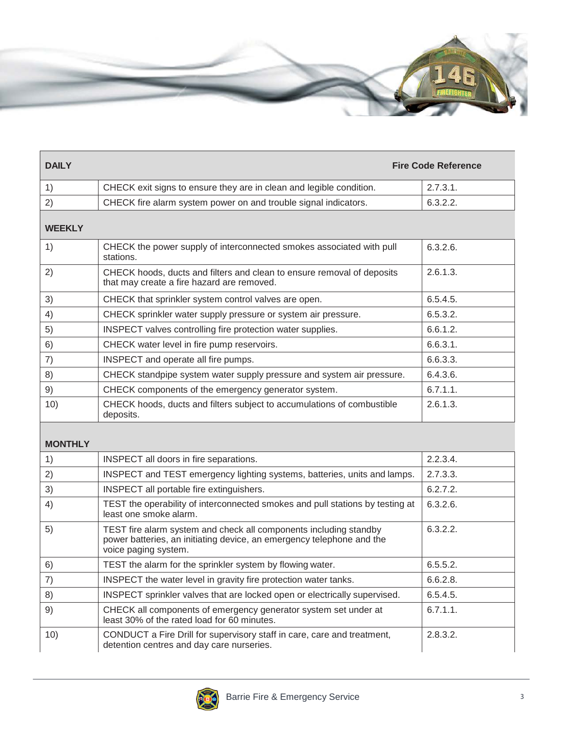

| <b>DAILY</b>   | <b>Fire Code Reference</b>                                                                                                                                         |          |
|----------------|--------------------------------------------------------------------------------------------------------------------------------------------------------------------|----------|
| 1)             | CHECK exit signs to ensure they are in clean and legible condition.                                                                                                | 2.7.3.1. |
| 2)             | CHECK fire alarm system power on and trouble signal indicators.                                                                                                    | 6.3.2.2. |
| <b>WEEKLY</b>  |                                                                                                                                                                    |          |
| 1)             | CHECK the power supply of interconnected smokes associated with pull<br>stations.                                                                                  | 6.3.2.6. |
| 2)             | CHECK hoods, ducts and filters and clean to ensure removal of deposits<br>that may create a fire hazard are removed.                                               | 2.6.1.3. |
| 3)             | CHECK that sprinkler system control valves are open.                                                                                                               | 6.5.4.5. |
| 4)             | CHECK sprinkler water supply pressure or system air pressure.                                                                                                      | 6.5.3.2. |
| 5)             | INSPECT valves controlling fire protection water supplies.                                                                                                         | 6.6.1.2. |
| 6)             | CHECK water level in fire pump reservoirs.                                                                                                                         | 6.6.3.1. |
| 7)             | INSPECT and operate all fire pumps.                                                                                                                                | 6.6.3.3. |
| 8)             | CHECK standpipe system water supply pressure and system air pressure.                                                                                              | 6.4.3.6. |
| 9)             | CHECK components of the emergency generator system.                                                                                                                | 6.7.1.1. |
| 10)            | CHECK hoods, ducts and filters subject to accumulations of combustible<br>deposits.                                                                                | 2.6.1.3. |
| <b>MONTHLY</b> |                                                                                                                                                                    |          |
| 1)             | INSPECT all doors in fire separations.                                                                                                                             | 2.2.3.4. |
| 2)             | INSPECT and TEST emergency lighting systems, batteries, units and lamps.                                                                                           | 2.7.3.3. |
| 3)             | INSPECT all portable fire extinguishers.                                                                                                                           | 6.2.7.2. |
| 4)             | TEST the operability of interconnected smokes and pull stations by testing at<br>least one smoke alarm.                                                            | 6.3.2.6. |
| 5)             | TEST fire alarm system and check all components including standby<br>power batteries, an initiating device, an emergency telephone and the<br>voice paging system. | 6.3.2.2. |
| 6)             | TEST the alarm for the sprinkler system by flowing water.                                                                                                          | 6.5.5.2  |
| 7)             | INSPECT the water level in gravity fire protection water tanks.                                                                                                    | 6.6.2.8. |
| 8)             | INSPECT sprinkler valves that are locked open or electrically supervised.                                                                                          | 6.5.4.5. |
| 9)             | CHECK all components of emergency generator system set under at<br>least 30% of the rated load for 60 minutes.                                                     | 6.7.1.1. |
| 10)            | CONDUCT a Fire Drill for supervisory staff in care, care and treatment,<br>detention centres and day care nurseries.                                               | 2.8.3.2. |

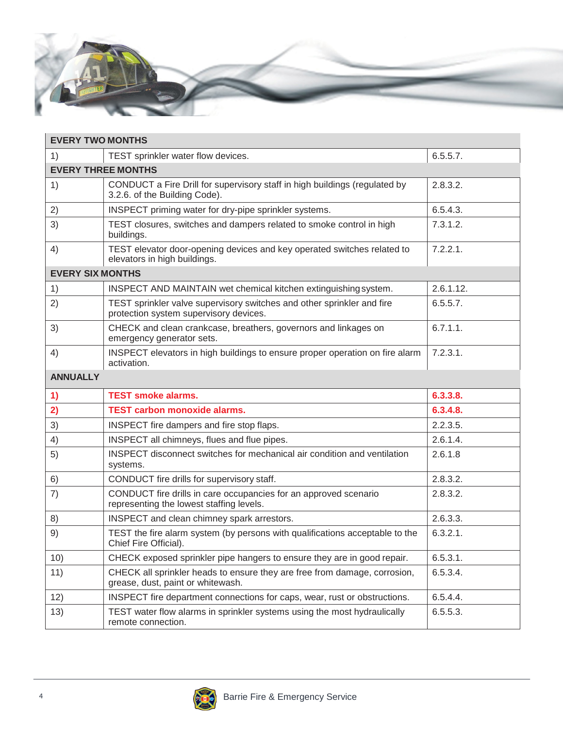

| <b>EVERY TWO MONTHS</b>    |                                                                                                                  |             |  |  |
|----------------------------|------------------------------------------------------------------------------------------------------------------|-------------|--|--|
| 1)                         | TEST sprinkler water flow devices.                                                                               | 6.5.5.7.    |  |  |
| <b>EVERY THREE MONTHS</b>  |                                                                                                                  |             |  |  |
| 1)                         | CONDUCT a Fire Drill for supervisory staff in high buildings (regulated by<br>3.2.6. of the Building Code).      | 2.8.3.2.    |  |  |
| 2)                         | INSPECT priming water for dry-pipe sprinkler systems.                                                            | 6.5.4.3.    |  |  |
| 3)                         | TEST closures, switches and dampers related to smoke control in high<br>buildings.                               | 7.3.1.2.    |  |  |
| 4)                         | TEST elevator door-opening devices and key operated switches related to<br>elevators in high buildings.          | $7.2.2.1$ . |  |  |
| <b>EVERY SIX MONTHS</b>    |                                                                                                                  |             |  |  |
| 1)                         | INSPECT AND MAINTAIN wet chemical kitchen extinguishing system.                                                  | 2.6.1.12.   |  |  |
| 2)                         | TEST sprinkler valve supervisory switches and other sprinkler and fire<br>protection system supervisory devices. | 6.5.5.7.    |  |  |
| 3)                         | CHECK and clean crankcase, breathers, governors and linkages on<br>emergency generator sets.                     | 6.7.1.1.    |  |  |
| 4)                         | INSPECT elevators in high buildings to ensure proper operation on fire alarm<br>activation.                      | 7.2.3.1.    |  |  |
| <b>ANNUALLY</b>            |                                                                                                                  |             |  |  |
| $\left( \mathbf{1}\right)$ | <b>TEST smoke alarms.</b>                                                                                        | 6.3.3.8.    |  |  |
| 2)                         | <b>TEST carbon monoxide alarms.</b>                                                                              | 6.3.4.8.    |  |  |
| 3)                         | INSPECT fire dampers and fire stop flaps.                                                                        | 2.2.3.5.    |  |  |
| 4)                         | INSPECT all chimneys, flues and flue pipes.                                                                      | 2.6.1.4.    |  |  |
| 5)                         | INSPECT disconnect switches for mechanical air condition and ventilation<br>systems.                             | 2.6.1.8     |  |  |
| 6)                         | CONDUCT fire drills for supervisory staff.                                                                       | 2.8.3.2.    |  |  |
| 7)                         | CONDUCT fire drills in care occupancies for an approved scenario<br>representing the lowest staffing levels.     | 2.8.3.2.    |  |  |
| 8)                         | INSPECT and clean chimney spark arrestors.                                                                       | 2.6.3.3.    |  |  |
| 9)                         | TEST the fire alarm system (by persons with qualifications acceptable to the<br>Chief Fire Official).            | 6.3.2.1.    |  |  |
| 10)                        | CHECK exposed sprinkler pipe hangers to ensure they are in good repair.                                          | 6.5.3.1.    |  |  |
| 11)                        | CHECK all sprinkler heads to ensure they are free from damage, corrosion,<br>grease, dust, paint or whitewash.   | 6.5.3.4.    |  |  |
| 12)                        | INSPECT fire department connections for caps, wear, rust or obstructions.                                        | 6.5.4.4.    |  |  |
| 13)                        | TEST water flow alarms in sprinkler systems using the most hydraulically<br>remote connection.                   | 6.5.5.3.    |  |  |

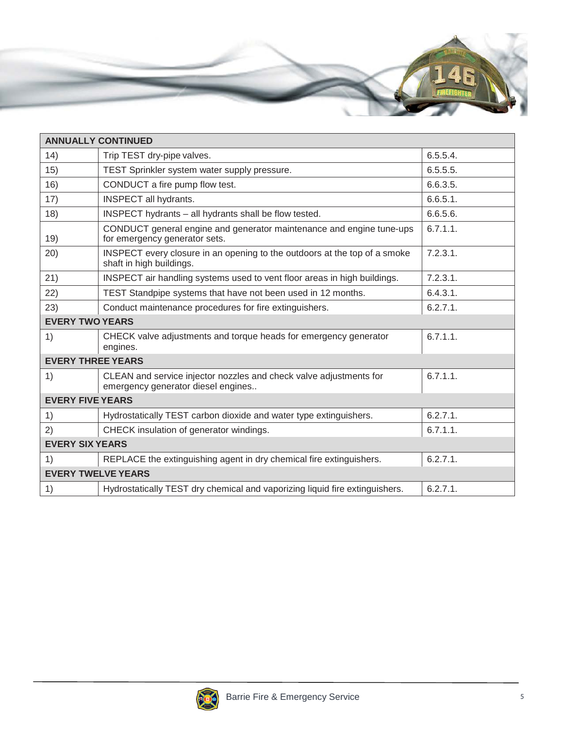

| <b>ANNUALLY CONTINUED</b> |                                                                                                          |             |  |  |
|---------------------------|----------------------------------------------------------------------------------------------------------|-------------|--|--|
| 14)                       | Trip TEST dry-pipe valves.                                                                               | 6.5.5.4.    |  |  |
| 15)                       | TEST Sprinkler system water supply pressure.                                                             | 6.5.5.5.    |  |  |
| 16)                       | CONDUCT a fire pump flow test.                                                                           | 6.6.3.5.    |  |  |
| 17)                       | INSPECT all hydrants.                                                                                    | 6.6.5.1.    |  |  |
| 18)                       | INSPECT hydrants - all hydrants shall be flow tested.                                                    | 6.6.5.6.    |  |  |
| 19)                       | CONDUCT general engine and generator maintenance and engine tune-ups<br>for emergency generator sets.    | 6.7.1.1.    |  |  |
| 20)                       | INSPECT every closure in an opening to the outdoors at the top of a smoke<br>shaft in high buildings.    | $7.2.3.1$ . |  |  |
| 21)                       | INSPECT air handling systems used to vent floor areas in high buildings.                                 | 7.2.3.1.    |  |  |
| 22)                       | TEST Standpipe systems that have not been used in 12 months.                                             | 6.4.3.1.    |  |  |
| 23)                       | Conduct maintenance procedures for fire extinguishers.                                                   | 6.2.7.1.    |  |  |
| <b>EVERY TWO YEARS</b>    |                                                                                                          |             |  |  |
| 1)                        | CHECK valve adjustments and torque heads for emergency generator<br>engines.                             | 6.7.1.1.    |  |  |
| <b>EVERY THREE YEARS</b>  |                                                                                                          |             |  |  |
| 1)                        | CLEAN and service injector nozzles and check valve adjustments for<br>emergency generator diesel engines | 6.7.1.1.    |  |  |
| <b>EVERY FIVE YEARS</b>   |                                                                                                          |             |  |  |
| 1)                        | Hydrostatically TEST carbon dioxide and water type extinguishers.                                        | 6.2.7.1.    |  |  |
| 2)                        | CHECK insulation of generator windings.                                                                  | 6.7.1.1.    |  |  |
| <b>EVERY SIX YEARS</b>    |                                                                                                          |             |  |  |
| 1)                        | REPLACE the extinguishing agent in dry chemical fire extinguishers.                                      | 6.2.7.1.    |  |  |
| <b>EVERY TWELVE YEARS</b> |                                                                                                          |             |  |  |
| 1)                        | Hydrostatically TEST dry chemical and vaporizing liquid fire extinguishers.                              | 6.2.7.1.    |  |  |